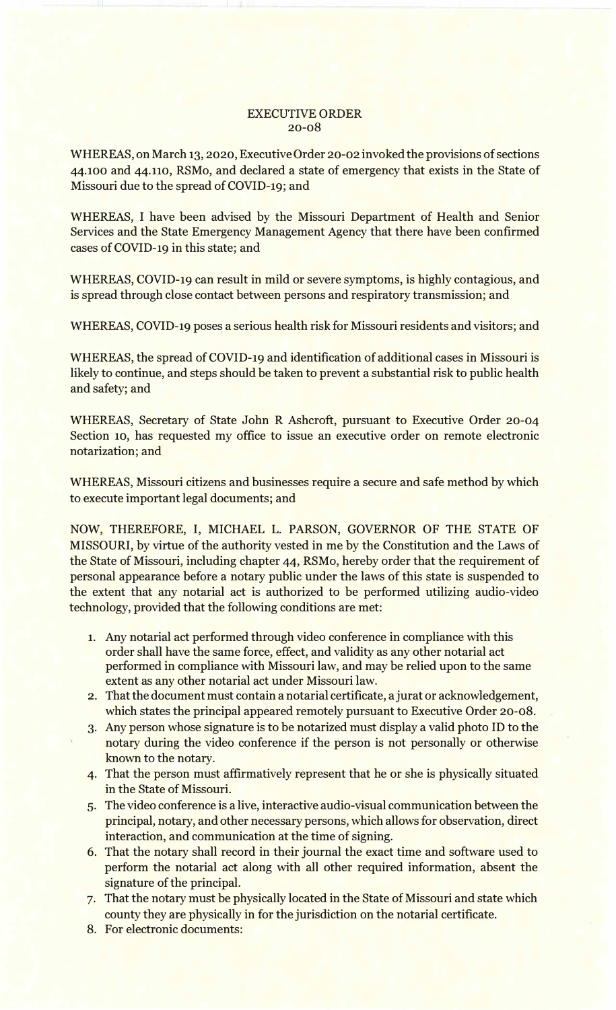## EXECUTIVE ORDER 20-08

WHEREAS, on March 13, 2020, Executive Order 20-02 invoked the provisions of sections 44.100 and 44.110, RSMo, and declared a state of emergency that exists in the State of Missouri due to the spread of COVID-19; and

WHEREAS, I have been advised by the Missouri Department of Health and Senior Services and the State Emergency Management Agency that there have been confirmed cases of COVID-19 in this state; and

WHEREAS, COVID-19 can result in mild or severe symptoms, is highly contagious, and is spread through close contact between persons and respiratory transmission; and

WHEREAS, COVID-19 poses a serious health risk for Missouri residents and visitors; and

WHEREAS, the spread of COVID-19 and identification of additional cases in Missouri is likely to continue, and steps should be taken to prevent a substantial risk to public health and safety; and

WHEREAS, Secretary of State John R Ashcroft, pursuant to Executive Order 20-04 Section 10, has requested my office to issue an executive order on remote electronic notarization; and

WHEREAS, Missouri citizens and businesses require a secure and safe method by which to execute important legal documents; and

NOW, THEREFORE, I, MICHAEL L. PARSON, GOVERNOR OF THE STATE OF MISSOURI, by virtue of the authority vested in me by the Constitution and the Laws of the State of Missouri, including chapter 44, RSMo, hereby order that the requirement of personal appearance before a notary public under the laws of this state is suspended to the extent that any notarial act is authorized to be performed utilizing audio-video technology, provided that the following conditions are met:

- 1. Any notarial act performed through video conference in compliance with this order shall have the same force, effect, and validity as any other notarial act performed in compliance with Missouri law, and may be relied upon to the same extent as any other notarial act under Missouri law.
- 2. That the document must contain a notarial certificate, a jurat or acknowledgement, which states the principal appeared remotely pursuant to Executive Order 20-08.
- 3. Any person whose signature is to be notarized must display a valid photo ID to the notary during the video conference if the person is not personally or otherwise known to the notary.
- 4. That the person must affirmatively represent that he or she is physically situated in the State of Missouri.
- 5. The video conference is a live, interactive audio-visual communication between the principal, notary, and other necessary persons, which allows for observation, direct interaction, and communication at the time of signing.
- 6. That the notary shall record in their journal the exact time and software used to perform the notarial act along with all other required information, absent the signature of the principal.
- 7. That the notary must be physically located in the State of Missouri and state which county they are physically in for the jurisdiction on the notarial certificate.
- 8. For electronic documents: